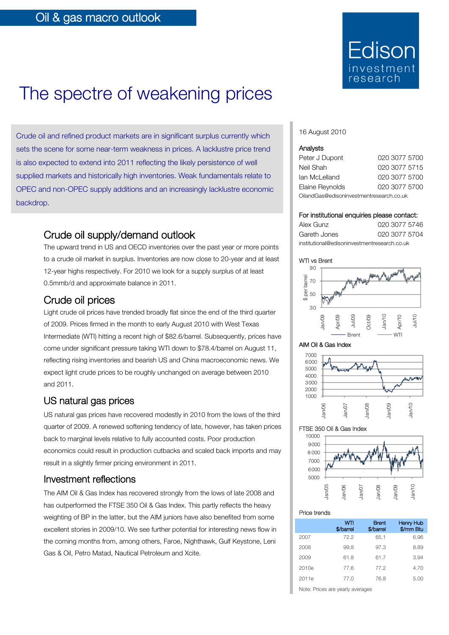

# The spectre of weakening prices

Crude oil and refined product markets are in significant surplus currently which sets the scene for some near-term weakness in prices. A lacklustre price trend is also expected to extend into 2011 reflecting the likely persistence of well supplied markets and historically high inventories. Weak fundamentals relate to OPEC and non-OPEC supply additions and an increasingly lacklustre economic backdrop.

### Crude oil supply/demand outlook

The upward trend in US and OECD inventories over the past year or more points to a crude oil market in surplus. Inventories are now close to 20-year and at least 12-year highs respectively. For 2010 we look for a supply surplus of at least 0.5mmb/d and approximate balance in 2011.

### Crude oil prices

Light crude oil prices have trended broadly flat since the end of the third quarter of 2009. Prices firmed in the month to early August 2010 with West Texas Intermediate (WTI) hitting a recent high of \$82.6/barrel. Subsequently, prices have come under significant pressure taking WTI down to \$78.4/barrel on August 11, reflecting rising inventories and bearish US and China macroeconomic news. We expect light crude prices to be roughly unchanged on average between 2010 and 2011.

### US natural gas prices

US natural gas prices have recovered modestly in 2010 from the lows of the third quarter of 2009. A renewed softening tendency of late, however, has taken prices back to marginal levels relative to fully accounted costs. Poor production economics could result in production cutbacks and scaled back imports and may result in a slightly firmer pricing environment in 2011.

### Investment reflections

The AIM Oil & Gas Index has recovered strongly from the lows of late 2008 and has outperformed the FTSE 350 Oil & Gas Index. This partly reflects the heavy weighting of BP in the latter, but the AIM juniors have also benefited from some excellent stories in 2009/10. We see further potential for interesting news flow in the coming months from, among others, Faroe, Nighthawk, Gulf Keystone, Leni Gas & Oil, Petro Matad, Nautical Petroleum and Xcite.

### 16 August 2010

| Analysts        |               |
|-----------------|---------------|
| Peter J Dupont  | 020 3077 5700 |
| Neil Shah       | 020 3077 5715 |
| lan McLelland   | 020 3077 5700 |
| Elaine Reynolds | 020 3077 5700 |

OilandGas@edisoninvestmentresearch.co.uk

### For institutional enquiries please contact:

| Alex Gunz                                    | 020 3077 5746 |
|----------------------------------------------|---------------|
| Gareth Jones                                 | 020 3077 5704 |
| institutional@edisoninvestmentresearch.co.uk |               |









### FTSE 350 Oil & Gas Index



### Price trends

|       | wп<br>\$/barrel | <b>Brent</b><br>\$/barrel | <b>Henry Hub</b><br>\$/mm Btu |
|-------|-----------------|---------------------------|-------------------------------|
| 2007  | 72.2            | 65.1                      | 6.96                          |
| 2008  | 99.8            | 97.3                      | 8.89                          |
| 2009  | 61.8            | 61.7                      | 3.94                          |
| 2010e | 77.6            | 77.2                      | 4.70                          |
| 2011e | 77.0            | 76.8                      | 5.00                          |

Note: Prices are yearly averages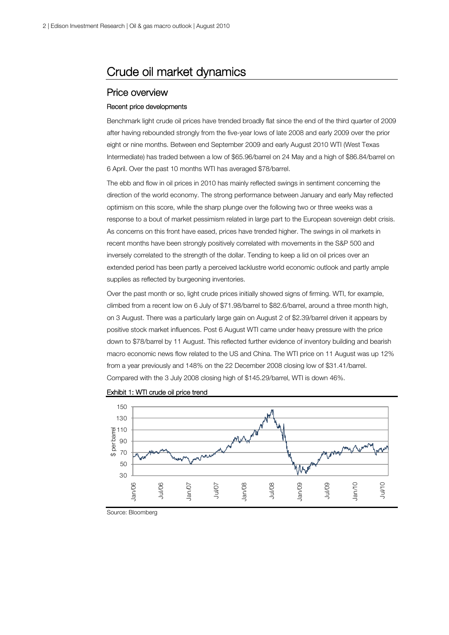## Crude oil market dynamics

### Price overview

### Recent price developments

Benchmark light crude oil prices have trended broadly flat since the end of the third quarter of 2009 after having rebounded strongly from the five-year lows of late 2008 and early 2009 over the prior eight or nine months. Between end September 2009 and early August 2010 WTI (West Texas Intermediate) has traded between a low of \$65.96/barrel on 24 May and a high of \$86.84/barrel on 6 April. Over the past 10 months WTI has averaged \$78/barrel.

The ebb and flow in oil prices in 2010 has mainly reflected swings in sentiment concerning the direction of the world economy. The strong performance between January and early May reflected optimism on this score, while the sharp plunge over the following two or three weeks was a response to a bout of market pessimism related in large part to the European sovereign debt crisis. As concerns on this front have eased, prices have trended higher. The swings in oil markets in recent months have been strongly positively correlated with movements in the S&P 500 and inversely correlated to the strength of the dollar. Tending to keep a lid on oil prices over an extended period has been partly a perceived lacklustre world economic outlook and partly ample supplies as reflected by burgeoning inventories.

Over the past month or so, light crude prices initially showed signs of firming. WTI, for example, climbed from a recent low on 6 July of \$71.98/barrel to \$82.6/barrel, around a three month high, on 3 August. There was a particularly large gain on August 2 of \$2.39/barrel driven it appears by positive stock market influences. Post 6 August WTI came under heavy pressure with the price down to \$78/barrel by 11 August. This reflected further evidence of inventory building and bearish macro economic news flow related to the US and China. The WTI price on 11 August was up 12% from a year previously and 148% on the 22 December 2008 closing low of \$31.41/barrel. Compared with the 3 July 2008 closing high of \$145.29/barrel, WTI is down 46%.





Source: Bloomberg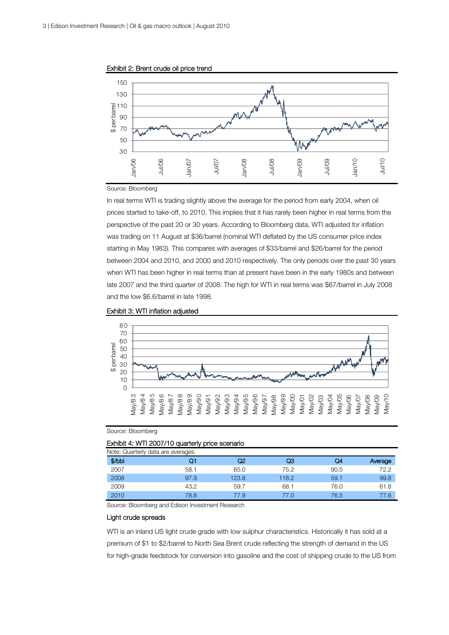



#### Source: Bloomberg

In real terms WTI is trading slightly above the average for the period from early 2004, when oil prices started to take-off, to 2010. This implies that it has rarely been higher in real terms from the perspective of the past 20 or 30 years. According to Bloomberg data, WTI adjusted for inflation was trading on 11 August at \$36/barrel (nominal WTI deflated by the US consumer price index starting in May 1983). This compares with averages of \$33/barrel and \$26/barrel for the period between 2004 and 2010, and 2000 and 2010 respectively. The only periods over the past 30 years when WTI has been higher in real terms than at present have been in the early 1980s and between late 2007 and the third quarter of 2008. The high for WTI in real terms was \$67/barrel in July 2008 and the low \$6.6/barrel in late 1998.





Source: Bloomberg

#### Exhibit 4: WTI 2007/10 quarterly price scenario

| \$/bbl | 01   | Q2    | QЗ    | Q4   | Average |
|--------|------|-------|-------|------|---------|
| 2007   | 58.1 | 65.0  | 75.2  | 90.5 | 72.2    |
| 2008   | 97.9 | 123.8 | 118.2 | 59.1 | 99.8    |
| 2009   | 43.2 | 59.7  | 68.1  | 76.0 | 61.8    |
| 2010   | 78.8 | 77.9  | 77.0  | 76.5 | 77.6    |

Source: Bloomberg and Edison Investment Research

### Light crude spreads

WTI is an inland US light crude grade with low sulphur characteristics. Historically it has sold at a premium of \$1 to \$2/barrel to North Sea Brent crude reflecting the strength of demand in the US for high-grade feedstock for conversion into gasoline and the cost of shipping crude to the US from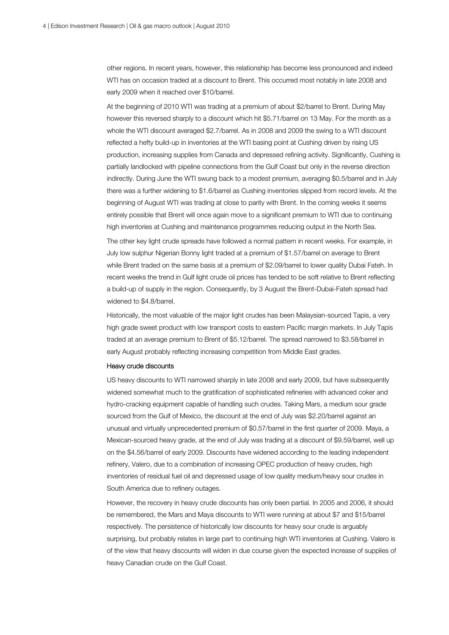other regions. In recent years, however, this relationship has become less pronounced and indeed WTI has on occasion traded at a discount to Brent. This occurred most notably in late 2008 and early 2009 when it reached over \$10/barrel.

At the beginning of 2010 WTI was trading at a premium of about \$2/barrel to Brent. During May however this reversed sharply to a discount which hit \$5.71/barrel on 13 May. For the month as a whole the WTI discount averaged \$2.7/barrel. As in 2008 and 2009 the swing to a WTI discount reflected a hefty build-up in inventories at the WTI basing point at Cushing driven by rising US production, increasing supplies from Canada and depressed refining activity. Significantly, Cushing is partially landlocked with pipeline connections from the Gulf Coast but only in the reverse direction indirectly. During June the WTI swung back to a modest premium, averaging \$0.5/barrel and in July there was a further widening to \$1.6/barrel as Cushing inventories slipped from record levels. At the beginning of August WTI was trading at close to parity with Brent. In the coming weeks it seems entirely possible that Brent will once again move to a significant premium to WTI due to continuing high inventories at Cushing and maintenance programmes reducing output in the North Sea.

The other key light crude spreads have followed a normal pattern in recent weeks. For example, in July low sulphur Nigerian Bonny light traded at a premium of \$1.57/barrel on average to Brent while Brent traded on the same basis at a premium of \$2.09/barrel to lower quality Dubai Fateh. In recent weeks the trend in Gulf light crude oil prices has tended to be soft relative to Brent reflecting a build-up of supply in the region. Consequently, by 3 August the Brent-Dubai-Fateh spread had widened to \$4.8/barrel.

Historically, the most valuable of the major light crudes has been Malaysian-sourced Tapis, a very high grade sweet product with low transport costs to eastern Pacific margin markets. In July Tapis traded at an average premium to Brent of \$5.12/barrel. The spread narrowed to \$3.58/barrel in early August probably reflecting increasing competition from Middle East grades.

### Heavy crude discounts

US heavy discounts to WTI narrowed sharply in late 2008 and early 2009, but have subsequently widened somewhat much to the gratification of sophisticated refineries with advanced coker and hydro-cracking equipment capable of handling such crudes. Taking Mars, a medium sour grade sourced from the Gulf of Mexico, the discount at the end of July was \$2.20/barrel against an unusual and virtually unprecedented premium of \$0.57/barrel in the first quarter of 2009. Maya, a Mexican-sourced heavy grade, at the end of July was trading at a discount of \$9.59/barrel, well up on the \$4.56/barrel of early 2009. Discounts have widened according to the leading independent refinery, Valero, due to a combination of increasing OPEC production of heavy crudes, high inventories of residual fuel oil and depressed usage of low quality medium/heavy sour crudes in South America due to refinery outages.

However, the recovery in heavy crude discounts has only been partial. In 2005 and 2006, it should be remembered, the Mars and Maya discounts to WTI were running at about \$7 and \$15/barrel respectively. The persistence of historically low discounts for heavy sour crude is arguably surprising, but probably relates in large part to continuing high WTI inventories at Cushing. Valero is of the view that heavy discounts will widen in due course given the expected increase of supplies of heavy Canadian crude on the Gulf Coast.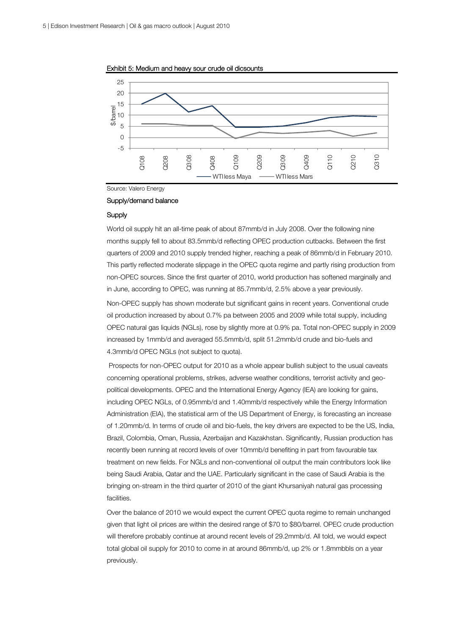

Exhibit 5: Medium and heavy sour crude oil dicsounts

Source: Valero Energy

#### Supply/demand balance

### **Supply**

World oil supply hit an all-time peak of about 87mmb/d in July 2008. Over the following nine months supply fell to about 83.5mmb/d reflecting OPEC production cutbacks. Between the first quarters of 2009 and 2010 supply trended higher, reaching a peak of 86mmb/d in February 2010. This partly reflected moderate slippage in the OPEC quota regime and partly rising production from non-OPEC sources. Since the first quarter of 2010, world production has softened marginally and in June, according to OPEC, was running at 85.7mmb/d, 2.5% above a year previously. Non-OPEC supply has shown moderate but significant gains in recent years. Conventional crude oil production increased by about 0.7% pa between 2005 and 2009 while total supply, including OPEC natural gas liquids (NGLs), rose by slightly more at 0.9% pa. Total non-OPEC supply in 2009 increased by 1mmb/d and averaged 55.5mmb/d, split 51.2mmb/d crude and bio-fuels and 4.3mmb/d OPEC NGLs (not subject to quota).

 Prospects for non-OPEC output for 2010 as a whole appear bullish subject to the usual caveats concerning operational problems, strikes, adverse weather conditions, terrorist activity and geopolitical developments. OPEC and the International Energy Agency (IEA) are looking for gains, including OPEC NGLs, of 0.95mmb/d and 1.40mmb/d respectively while the Energy Information Administration (EIA), the statistical arm of the US Department of Energy, is forecasting an increase of 1.20mmb/d. In terms of crude oil and bio-fuels, the key drivers are expected to be the US, India, Brazil, Colombia, Oman, Russia, Azerbaijan and Kazakhstan. Significantly, Russian production has recently been running at record levels of over 10mmb/d benefiting in part from favourable tax treatment on new fields. For NGLs and non-conventional oil output the main contributors look like being Saudi Arabia, Qatar and the UAE. Particularly significant in the case of Saudi Arabia is the bringing on-stream in the third quarter of 2010 of the giant Khursaniyah natural gas processing facilities.

Over the balance of 2010 we would expect the current OPEC quota regime to remain unchanged given that light oil prices are within the desired range of \$70 to \$80/barrel. OPEC crude production will therefore probably continue at around recent levels of 29.2mmb/d. All told, we would expect total global oil supply for 2010 to come in at around 86mmb/d, up 2% or 1.8mmbbls on a year previously.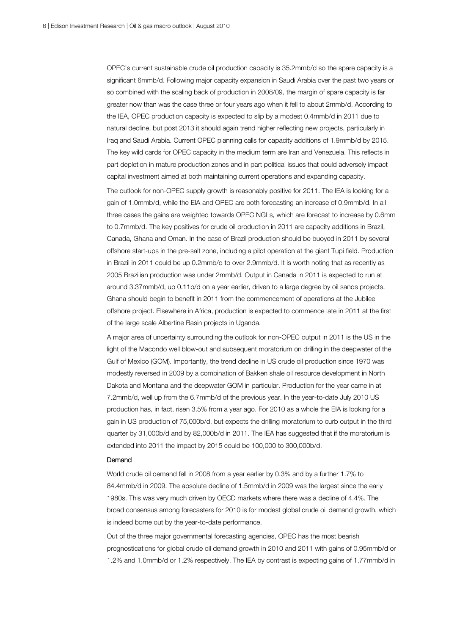OPEC's current sustainable crude oil production capacity is 35.2mmb/d so the spare capacity is a significant 6mmb/d. Following major capacity expansion in Saudi Arabia over the past two years or so combined with the scaling back of production in 2008/09, the margin of spare capacity is far greater now than was the case three or four years ago when it fell to about 2mmb/d. According to the IEA, OPEC production capacity is expected to slip by a modest 0.4mmb/d in 2011 due to natural decline, but post 2013 it should again trend higher reflecting new projects, particularly in Iraq and Saudi Arabia. Current OPEC planning calls for capacity additions of 1.9mmb/d by 2015. The key wild cards for OPEC capacity in the medium term are Iran and Venezuela. This reflects in part depletion in mature production zones and in part political issues that could adversely impact capital investment aimed at both maintaining current operations and expanding capacity.

The outlook for non-OPEC supply growth is reasonably positive for 2011. The IEA is looking for a gain of 1.0mmb/d, while the EIA and OPEC are both forecasting an increase of 0.9mmb/d. In all three cases the gains are weighted towards OPEC NGLs, which are forecast to increase by 0.6mm to 0.7mmb/d. The key positives for crude oil production in 2011 are capacity additions in Brazil, Canada, Ghana and Oman. In the case of Brazil production should be buoyed in 2011 by several offshore start-ups in the pre-salt zone, including a pilot operation at the giant Tupi field. Production in Brazil in 2011 could be up 0.2mmb/d to over 2.9mmb/d. It is worth noting that as recently as 2005 Brazilian production was under 2mmb/d. Output in Canada in 2011 is expected to run at around 3.37mmb/d, up 0.11b/d on a year earlier, driven to a large degree by oil sands projects. Ghana should begin to benefit in 2011 from the commencement of operations at the Jubilee offshore project. Elsewhere in Africa, production is expected to commence late in 2011 at the first of the large scale Albertine Basin projects in Uganda.

A major area of uncertainty surrounding the outlook for non-OPEC output in 2011 is the US in the light of the Macondo well blow-out and subsequent moratorium on drilling in the deepwater of the Gulf of Mexico (GOM). Importantly, the trend decline in US crude oil production since 1970 was modestly reversed in 2009 by a combination of Bakken shale oil resource development in North Dakota and Montana and the deepwater GOM in particular. Production for the year came in at 7.2mmb/d, well up from the 6.7mmb/d of the previous year. In the year-to-date July 2010 US production has, in fact, risen 3.5% from a year ago. For 2010 as a whole the EIA is looking for a gain in US production of 75,000b/d, but expects the drilling moratorium to curb output in the third quarter by 31,000b/d and by 82,000b/d in 2011. The IEA has suggested that if the moratorium is extended into 2011 the impact by 2015 could be 100,000 to 300,000b/d.

### Demand

World crude oil demand fell in 2008 from a year earlier by 0.3% and by a further 1.7% to 84.4mmb/d in 2009. The absolute decline of 1.5mmb/d in 2009 was the largest since the early 1980s. This was very much driven by OECD markets where there was a decline of 4.4%. The broad consensus among forecasters for 2010 is for modest global crude oil demand growth, which is indeed borne out by the year-to-date performance.

Out of the three major governmental forecasting agencies, OPEC has the most bearish prognostications for global crude oil demand growth in 2010 and 2011 with gains of 0.95mmb/d or 1.2% and 1.0mmb/d or 1.2% respectively. The IEA by contrast is expecting gains of 1.77mmb/d in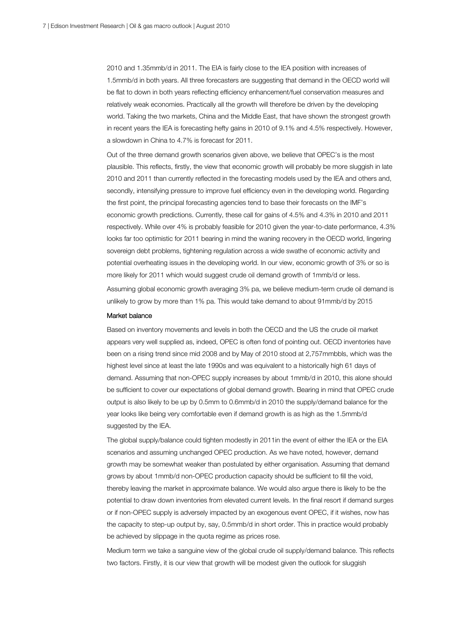2010 and 1.35mmb/d in 2011. The EIA is fairly close to the IEA position with increases of 1.5mmb/d in both years. All three forecasters are suggesting that demand in the OECD world will be flat to down in both years reflecting efficiency enhancement/fuel conservation measures and relatively weak economies. Practically all the growth will therefore be driven by the developing world. Taking the two markets, China and the Middle East, that have shown the strongest growth in recent years the IEA is forecasting hefty gains in 2010 of 9.1% and 4.5% respectively. However, a slowdown in China to 4.7% is forecast for 2011.

Out of the three demand growth scenarios given above, we believe that OPEC's is the most plausible. This reflects, firstly, the view that economic growth will probably be more sluggish in late 2010 and 2011 than currently reflected in the forecasting models used by the IEA and others and, secondly, intensifying pressure to improve fuel efficiency even in the developing world. Regarding the first point, the principal forecasting agencies tend to base their forecasts on the IMF's economic growth predictions. Currently, these call for gains of 4.5% and 4.3% in 2010 and 2011 respectively. While over 4% is probably feasible for 2010 given the year-to-date performance, 4.3% looks far too optimistic for 2011 bearing in mind the waning recovery in the OECD world, lingering sovereign debt problems, tightening regulation across a wide swathe of economic activity and potential overheating issues in the developing world. In our view, economic growth of 3% or so is more likely for 2011 which would suggest crude oil demand growth of 1mmb/d or less.

Assuming global economic growth averaging 3% pa, we believe medium-term crude oil demand is unlikely to grow by more than 1% pa. This would take demand to about 91mmb/d by 2015

#### Market balance

Based on inventory movements and levels in both the OECD and the US the crude oil market appears very well supplied as, indeed, OPEC is often fond of pointing out. OECD inventories have been on a rising trend since mid 2008 and by May of 2010 stood at 2,757mmbbls, which was the highest level since at least the late 1990s and was equivalent to a historically high 61 days of demand. Assuming that non-OPEC supply increases by about 1mmb/d in 2010, this alone should be sufficient to cover our expectations of global demand growth. Bearing in mind that OPEC crude output is also likely to be up by 0.5mm to 0.6mmb/d in 2010 the supply/demand balance for the year looks like being very comfortable even if demand growth is as high as the 1.5mmb/d suggested by the IEA.

The global supply/balance could tighten modestly in 2011in the event of either the IEA or the EIA scenarios and assuming unchanged OPEC production. As we have noted, however, demand growth may be somewhat weaker than postulated by either organisation. Assuming that demand grows by about 1mmb/d non-OPEC production capacity should be sufficient to fill the void, thereby leaving the market in approximate balance. We would also argue there is likely to be the potential to draw down inventories from elevated current levels. In the final resort if demand surges or if non-OPEC supply is adversely impacted by an exogenous event OPEC, if it wishes, now has the capacity to step-up output by, say, 0.5mmb/d in short order. This in practice would probably be achieved by slippage in the quota regime as prices rose.

Medium term we take a sanguine view of the global crude oil supply/demand balance. This reflects two factors. Firstly, it is our view that growth will be modest given the outlook for sluggish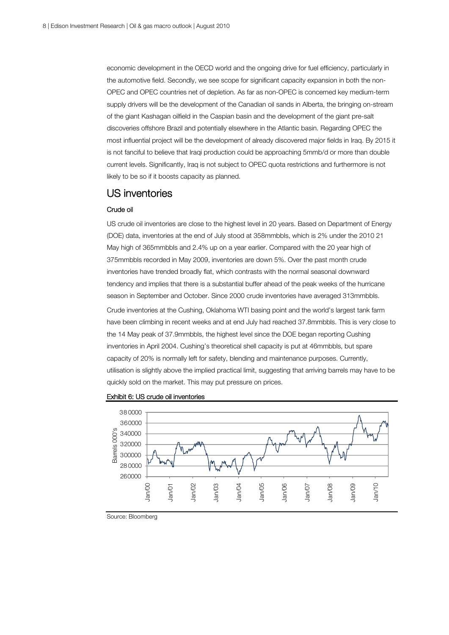economic development in the OECD world and the ongoing drive for fuel efficiency, particularly in the automotive field. Secondly, we see scope for significant capacity expansion in both the non-OPEC and OPEC countries net of depletion. As far as non-OPEC is concerned key medium-term supply drivers will be the development of the Canadian oil sands in Alberta, the bringing on-stream of the giant Kashagan oilfield in the Caspian basin and the development of the giant pre-salt discoveries offshore Brazil and potentially elsewhere in the Atlantic basin. Regarding OPEC the most influential project will be the development of already discovered major fields in Iraq. By 2015 it is not fanciful to believe that Iraqi production could be approaching 5mmb/d or more than double current levels. Significantly, Iraq is not subject to OPEC quota restrictions and furthermore is not likely to be so if it boosts capacity as planned.

### US inventories

### Crude oil

US crude oil inventories are close to the highest level in 20 years. Based on Department of Energy (DOE) data, inventories at the end of July stood at 358mmbbls, which is 2% under the 2010 21 May high of 365mmbbls and 2.4% up on a year earlier. Compared with the 20 year high of 375mmbbls recorded in May 2009, inventories are down 5%. Over the past month crude inventories have trended broadly flat, which contrasts with the normal seasonal downward tendency and implies that there is a substantial buffer ahead of the peak weeks of the hurricane season in September and October. Since 2000 crude inventories have averaged 313mmbbls. Crude inventories at the Cushing, Oklahoma WTI basing point and the world's largest tank farm have been climbing in recent weeks and at end July had reached 37.8mmbbls. This is very close to the 14 May peak of 37.9mmbbls, the highest level since the DOE began reporting Cushing inventories in April 2004. Cushing's theoretical shell capacity is put at 46mmbbls, but spare capacity of 20% is normally left for safety, blending and maintenance purposes. Currently, utilisation is slightly above the implied practical limit, suggesting that arriving barrels may have to be quickly sold on the market. This may put pressure on prices.





Source: Bloomberg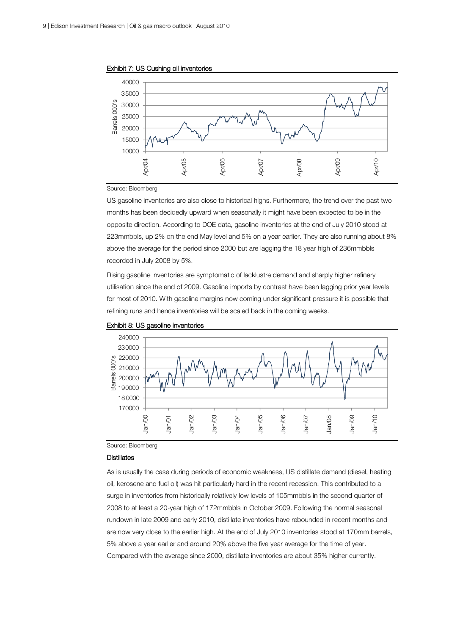

Exhibit 7: US Cushing oil inventories

#### Source: Bloomberg

US gasoline inventories are also close to historical highs. Furthermore, the trend over the past two months has been decidedly upward when seasonally it might have been expected to be in the opposite direction. According to DOE data, gasoline inventories at the end of July 2010 stood at 223mmbbls, up 2% on the end May level and 5% on a year earlier. They are also running about 8% above the average for the period since 2000 but are lagging the 18 year high of 236mmbbls recorded in July 2008 by 5%.

Rising gasoline inventories are symptomatic of lacklustre demand and sharply higher refinery utilisation since the end of 2009. Gasoline imports by contrast have been lagging prior year levels for most of 2010. With gasoline margins now coming under significant pressure it is possible that refining runs and hence inventories will be scaled back in the coming weeks.





Source: Bloomberg

### **Distillates**

As is usually the case during periods of economic weakness, US distillate demand (diesel, heating oil, kerosene and fuel oil) was hit particularly hard in the recent recession. This contributed to a surge in inventories from historically relatively low levels of 105mmbbls in the second quarter of 2008 to at least a 20-year high of 172mmbbls in October 2009. Following the normal seasonal rundown in late 2009 and early 2010, distillate inventories have rebounded in recent months and are now very close to the earlier high. At the end of July 2010 inventories stood at 170mm barrels, 5% above a year earlier and around 20% above the five year average for the time of year. Compared with the average since 2000, distillate inventories are about 35% higher currently.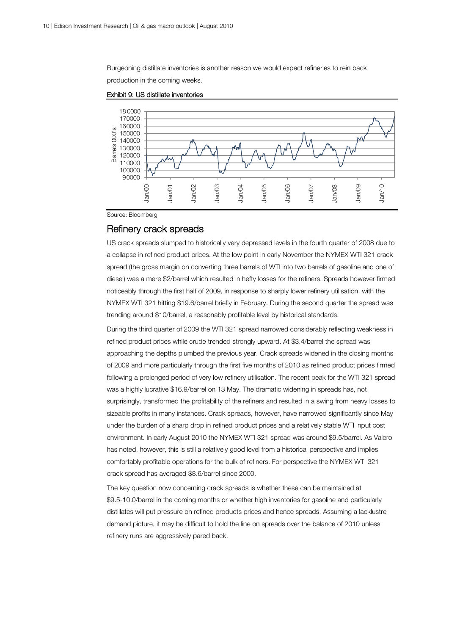Burgeoning distillate inventories is another reason we would expect refineries to rein back production in the coming weeks.



Exhibit 9: US distillate inventories

Source: Bloomberg

### Refinery crack spreads

US crack spreads slumped to historically very depressed levels in the fourth quarter of 2008 due to a collapse in refined product prices. At the low point in early November the NYMEX WTI 321 crack spread (the gross margin on converting three barrels of WTI into two barrels of gasoline and one of diesel) was a mere \$2/barrel which resulted in hefty losses for the refiners. Spreads however firmed noticeably through the first half of 2009, in response to sharply lower refinery utilisation, with the NYMEX WTI 321 hitting \$19.6/barrel briefly in February. During the second quarter the spread was trending around \$10/barrel, a reasonably profitable level by historical standards.

During the third quarter of 2009 the WTI 321 spread narrowed considerably reflecting weakness in refined product prices while crude trended strongly upward. At \$3.4/barrel the spread was approaching the depths plumbed the previous year. Crack spreads widened in the closing months of 2009 and more particularly through the first five months of 2010 as refined product prices firmed following a prolonged period of very low refinery utilisation. The recent peak for the WTI 321 spread was a highly lucrative \$16.9/barrel on 13 May. The dramatic widening in spreads has, not surprisingly, transformed the profitability of the refiners and resulted in a swing from heavy losses to sizeable profits in many instances. Crack spreads, however, have narrowed significantly since May under the burden of a sharp drop in refined product prices and a relatively stable WTI input cost environment. In early August 2010 the NYMEX WTI 321 spread was around \$9.5/barrel. As Valero has noted, however, this is still a relatively good level from a historical perspective and implies comfortably profitable operations for the bulk of refiners. For perspective the NYMEX WTI 321 crack spread has averaged \$8.6/barrel since 2000.

The key question now concerning crack spreads is whether these can be maintained at \$9.5-10.0/barrel in the coming months or whether high inventories for gasoline and particularly distillates will put pressure on refined products prices and hence spreads. Assuming a lacklustre demand picture, it may be difficult to hold the line on spreads over the balance of 2010 unless refinery runs are aggressively pared back.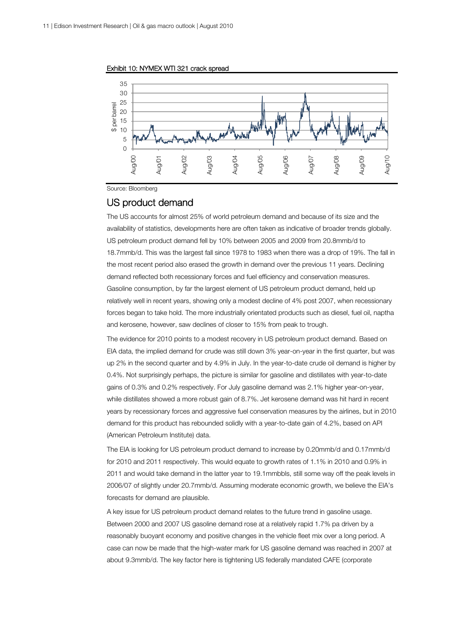

Exhibit 10: NYMEX WTI 321 crack spread

Source: Bloomberg

### US product demand

The US accounts for almost 25% of world petroleum demand and because of its size and the availability of statistics, developments here are often taken as indicative of broader trends globally. US petroleum product demand fell by 10% between 2005 and 2009 from 20.8mmb/d to 18.7mmb/d. This was the largest fall since 1978 to 1983 when there was a drop of 19%. The fall in the most recent period also erased the growth in demand over the previous 11 years. Declining demand reflected both recessionary forces and fuel efficiency and conservation measures. Gasoline consumption, by far the largest element of US petroleum product demand, held up relatively well in recent years, showing only a modest decline of 4% post 2007, when recessionary forces began to take hold. The more industrially orientated products such as diesel, fuel oil, naptha and kerosene, however, saw declines of closer to 15% from peak to trough.

The evidence for 2010 points to a modest recovery in US petroleum product demand. Based on EIA data, the implied demand for crude was still down 3% year-on-year in the first quarter, but was up 2% in the second quarter and by 4.9% in July. In the year-to-date crude oil demand is higher by 0.4%. Not surprisingly perhaps, the picture is similar for gasoline and distillates with year-to-date gains of 0.3% and 0.2% respectively. For July gasoline demand was 2.1% higher year-on-year, while distillates showed a more robust gain of 8.7%. Jet kerosene demand was hit hard in recent years by recessionary forces and aggressive fuel conservation measures by the airlines, but in 2010 demand for this product has rebounded solidly with a year-to-date gain of 4.2%, based on API (American Petroleum Institute) data.

The EIA is looking for US petroleum product demand to increase by 0.20mmb/d and 0.17mmb/d for 2010 and 2011 respectively. This would equate to growth rates of 1.1% in 2010 and 0.9% in 2011 and would take demand in the latter year to 19.1mmbbls, still some way off the peak levels in 2006/07 of slightly under 20.7mmb/d. Assuming moderate economic growth, we believe the EIA's forecasts for demand are plausible.

A key issue for US petroleum product demand relates to the future trend in gasoline usage. Between 2000 and 2007 US gasoline demand rose at a relatively rapid 1.7% pa driven by a reasonably buoyant economy and positive changes in the vehicle fleet mix over a long period. A case can now be made that the high-water mark for US gasoline demand was reached in 2007 at about 9.3mmb/d. The key factor here is tightening US federally mandated CAFE (corporate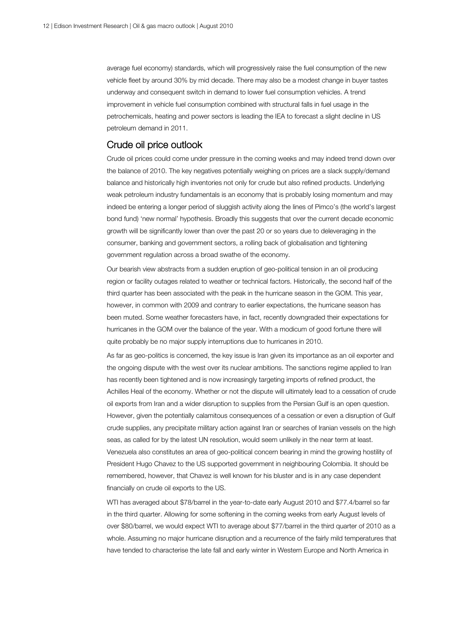average fuel economy) standards, which will progressively raise the fuel consumption of the new vehicle fleet by around 30% by mid decade. There may also be a modest change in buyer tastes underway and consequent switch in demand to lower fuel consumption vehicles. A trend improvement in vehicle fuel consumption combined with structural falls in fuel usage in the petrochemicals, heating and power sectors is leading the IEA to forecast a slight decline in US petroleum demand in 2011.

### Crude oil price outlook

Crude oil prices could come under pressure in the coming weeks and may indeed trend down over the balance of 2010. The key negatives potentially weighing on prices are a slack supply/demand balance and historically high inventories not only for crude but also refined products. Underlying weak petroleum industry fundamentals is an economy that is probably losing momentum and may indeed be entering a longer period of sluggish activity along the lines of Pimco's (the world's largest bond fund) 'new normal' hypothesis. Broadly this suggests that over the current decade economic growth will be significantly lower than over the past 20 or so years due to deleveraging in the consumer, banking and government sectors, a rolling back of globalisation and tightening government regulation across a broad swathe of the economy.

Our bearish view abstracts from a sudden eruption of geo-political tension in an oil producing region or facility outages related to weather or technical factors. Historically, the second half of the third quarter has been associated with the peak in the hurricane season in the GOM. This year, however, in common with 2009 and contrary to earlier expectations, the hurricane season has been muted. Some weather forecasters have, in fact, recently downgraded their expectations for hurricanes in the GOM over the balance of the year. With a modicum of good fortune there will quite probably be no major supply interruptions due to hurricanes in 2010.

As far as geo-politics is concerned, the key issue is Iran given its importance as an oil exporter and the ongoing dispute with the west over its nuclear ambitions. The sanctions regime applied to Iran has recently been tightened and is now increasingly targeting imports of refined product, the Achilles Heal of the economy. Whether or not the dispute will ultimately lead to a cessation of crude oil exports from Iran and a wider disruption to supplies from the Persian Gulf is an open question. However, given the potentially calamitous consequences of a cessation or even a disruption of Gulf crude supplies, any precipitate military action against Iran or searches of Iranian vessels on the high seas, as called for by the latest UN resolution, would seem unlikely in the near term at least. Venezuela also constitutes an area of geo-political concern bearing in mind the growing hostility of President Hugo Chavez to the US supported government in neighbouring Colombia. It should be remembered, however, that Chavez is well known for his bluster and is in any case dependent financially on crude oil exports to the US.

WTI has averaged about \$78/barrel in the year-to-date early August 2010 and \$77.4/barrel so far in the third quarter. Allowing for some softening in the coming weeks from early August levels of over \$80/barrel, we would expect WTI to average about \$77/barrel in the third quarter of 2010 as a whole. Assuming no major hurricane disruption and a recurrence of the fairly mild temperatures that have tended to characterise the late fall and early winter in Western Europe and North America in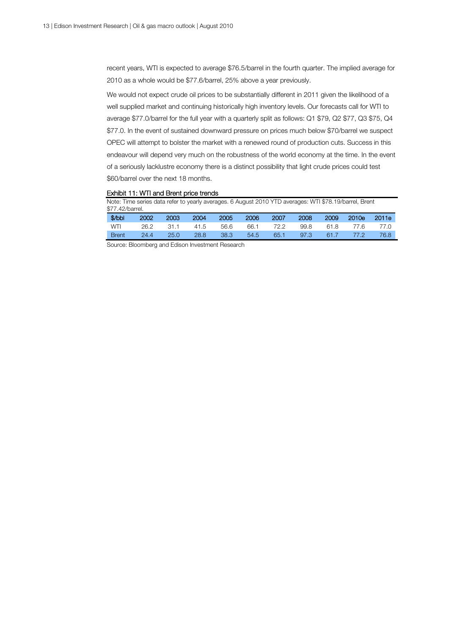recent years, WTI is expected to average \$76.5/barrel in the fourth quarter. The implied average for 2010 as a whole would be \$77.6/barrel, 25% above a year previously.

We would not expect crude oil prices to be substantially different in 2011 given the likelihood of a well supplied market and continuing historically high inventory levels. Our forecasts call for WTI to average \$77.0/barrel for the full year with a quarterly split as follows: Q1 \$79, Q2 \$77, Q3 \$75, Q4 \$77.0. In the event of sustained downward pressure on prices much below \$70/barrel we suspect OPEC will attempt to bolster the market with a renewed round of production cuts. Success in this endeavour will depend very much on the robustness of the world economy at the time. In the event of a seriously lacklustre economy there is a distinct possibility that light crude prices could test \$60/barrel over the next 18 months.

### Exhibit 11: WTI and Brent price trends

| Note: Time series data refer to yearly averages. 6 August 2010 YTD averages: WTI \$78.19/barrel, Brent<br>\$77.42/barrel. |      |      |      |                |      |      |      |      |       |       |
|---------------------------------------------------------------------------------------------------------------------------|------|------|------|----------------|------|------|------|------|-------|-------|
| $$$ /bbl                                                                                                                  | 2002 | 2003 | 2004 | 2005           | 2006 | 2007 | 2008 | 2009 | 2010e | 2011e |
| <b>WTI</b>                                                                                                                | 26.2 | 31.1 | 41.5 | 56.6           | 66.1 | 72.2 | 99.8 | 61.8 | 77.6  | 77.O  |
| <b>Brent</b>                                                                                                              | 24.4 | 25.0 | 28.8 | $38.3^{\circ}$ | 54.5 | 65.1 | 97.3 | 61.7 | 77 Q  | 76.8  |

Source: Bloomberg and Edison Investment Research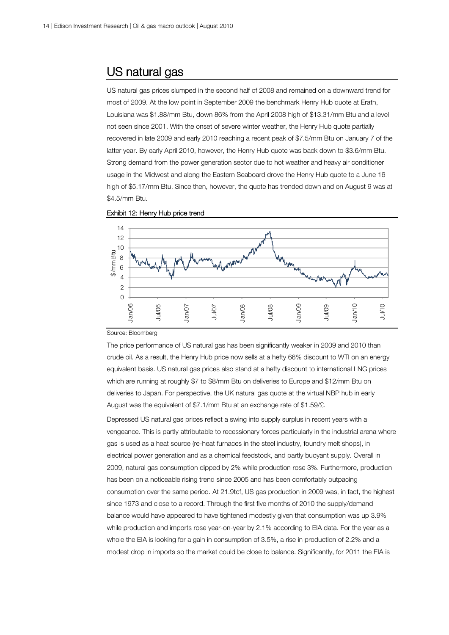### US natural gas

US natural gas prices slumped in the second half of 2008 and remained on a downward trend for most of 2009. At the low point in September 2009 the benchmark Henry Hub quote at Erath, Louisiana was \$1.88/mm Btu, down 86% from the April 2008 high of \$13.31/mm Btu and a level not seen since 2001. With the onset of severe winter weather, the Henry Hub quote partially recovered in late 2009 and early 2010 reaching a recent peak of \$7.5/mm Btu on January 7 of the latter year. By early April 2010, however, the Henry Hub quote was back down to \$3.6/mm Btu. Strong demand from the power generation sector due to hot weather and heavy air conditioner usage in the Midwest and along the Eastern Seaboard drove the Henry Hub quote to a June 16 high of \$5.17/mm Btu. Since then, however, the quote has trended down and on August 9 was at \$4.5/mm Btu.





#### Source: Bloomberg

The price performance of US natural gas has been significantly weaker in 2009 and 2010 than crude oil. As a result, the Henry Hub price now sells at a hefty 66% discount to WTI on an energy equivalent basis. US natural gas prices also stand at a hefty discount to international LNG prices which are running at roughly \$7 to \$8/mm Btu on deliveries to Europe and \$12/mm Btu on deliveries to Japan. For perspective, the UK natural gas quote at the virtual NBP hub in early August was the equivalent of \$7.1/mm Btu at an exchange rate of \$1.59/£.

Depressed US natural gas prices reflect a swing into supply surplus in recent years with a vengeance. This is partly attributable to recessionary forces particularly in the industrial arena where gas is used as a heat source (re-heat furnaces in the steel industry, foundry melt shops), in electrical power generation and as a chemical feedstock, and partly buoyant supply. Overall in 2009, natural gas consumption dipped by 2% while production rose 3%. Furthermore, production has been on a noticeable rising trend since 2005 and has been comfortably outpacing consumption over the same period. At 21.9tcf, US gas production in 2009 was, in fact, the highest since 1973 and close to a record. Through the first five months of 2010 the supply/demand balance would have appeared to have tightened modestly given that consumption was up 3.9% while production and imports rose year-on-year by 2.1% according to EIA data. For the year as a whole the EIA is looking for a gain in consumption of 3.5%, a rise in production of 2.2% and a modest drop in imports so the market could be close to balance. Significantly, for 2011 the EIA is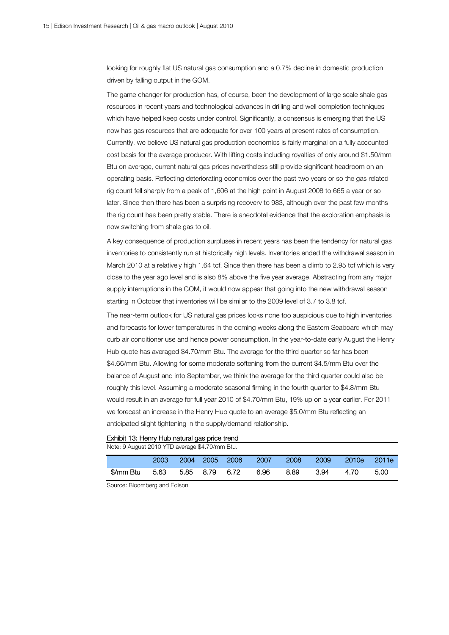looking for roughly flat US natural gas consumption and a 0.7% decline in domestic production driven by falling output in the GOM.

The game changer for production has, of course, been the development of large scale shale gas resources in recent years and technological advances in drilling and well completion techniques which have helped keep costs under control. Significantly, a consensus is emerging that the US now has gas resources that are adequate for over 100 years at present rates of consumption. Currently, we believe US natural gas production economics is fairly marginal on a fully accounted cost basis for the average producer. With lifting costs including royalties of only around \$1.50/mm Btu on average, current natural gas prices nevertheless still provide significant headroom on an operating basis. Reflecting deteriorating economics over the past two years or so the gas related rig count fell sharply from a peak of 1,606 at the high point in August 2008 to 665 a year or so later. Since then there has been a surprising recovery to 983, although over the past few months the rig count has been pretty stable. There is anecdotal evidence that the exploration emphasis is now switching from shale gas to oil.

A key consequence of production surpluses in recent years has been the tendency for natural gas inventories to consistently run at historically high levels. Inventories ended the withdrawal season in March 2010 at a relatively high 1.64 tcf. Since then there has been a climb to 2.95 tcf which is very close to the year ago level and is also 8% above the five year average. Abstracting from any major supply interruptions in the GOM, it would now appear that going into the new withdrawal season starting in October that inventories will be similar to the 2009 level of 3.7 to 3.8 tcf.

The near-term outlook for US natural gas prices looks none too auspicious due to high inventories and forecasts for lower temperatures in the coming weeks along the Eastern Seaboard which may curb air conditioner use and hence power consumption. In the year-to-date early August the Henry Hub quote has averaged \$4.70/mm Btu. The average for the third quarter so far has been \$4.66/mm Btu. Allowing for some moderate softening from the current \$4.5/mm Btu over the balance of August and into September, we think the average for the third quarter could also be roughly this level. Assuming a moderate seasonal firming in the fourth quarter to \$4.8/mm Btu would result in an average for full year 2010 of \$4.70/mm Btu, 19% up on a year earlier. For 2011 we forecast an increase in the Henry Hub quote to an average \$5.0/mm Btu reflecting an anticipated slight tightening in the supply/demand relationship.

### Exhibit 13: Henry Hub natural gas price trend

| Note: 9 August 2010 YTD average \$4.70/mm Btu. |           |      |                |  |                |       |             |      |       |         |
|------------------------------------------------|-----------|------|----------------|--|----------------|-------|-------------|------|-------|---------|
|                                                |           | 2003 |                |  | 2004 2005 2006 | -2007 | <b>2008</b> | 2009 | 2010e | – 2011e |
|                                                | \$/mm Btu | 5.63 | 5.85 8.79 6.72 |  |                | 6.96  | 8.89        | 3.94 | 4.70  | 5.00    |

Source: Bloomberg and Edison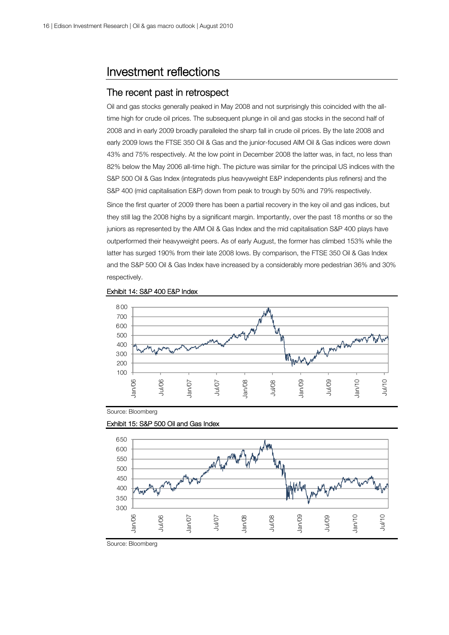### Investment reflections

### The recent past in retrospect

Oil and gas stocks generally peaked in May 2008 and not surprisingly this coincided with the alltime high for crude oil prices. The subsequent plunge in oil and gas stocks in the second half of 2008 and in early 2009 broadly paralleled the sharp fall in crude oil prices. By the late 2008 and early 2009 lows the FTSE 350 Oil & Gas and the junior-focused AIM Oil & Gas indices were down 43% and 75% respectively. At the low point in December 2008 the latter was, in fact, no less than 82% below the May 2006 all-time high. The picture was similar for the principal US indices with the S&P 500 Oil & Gas Index (integrateds plus heavyweight E&P independents plus refiners) and the S&P 400 (mid capitalisation E&P) down from peak to trough by 50% and 79% respectively.

Since the first quarter of 2009 there has been a partial recovery in the key oil and gas indices, but they still lag the 2008 highs by a significant margin. Importantly, over the past 18 months or so the juniors as represented by the AIM Oil & Gas Index and the mid capitalisation S&P 400 plays have outperformed their heavyweight peers. As of early August, the former has climbed 153% while the latter has surged 190% from their late 2008 lows. By comparison, the FTSE 350 Oil & Gas Index and the S&P 500 Oil & Gas Index have increased by a considerably more pedestrian 36% and 30% respectively.





Source: Bloomberg



Exhibit 15: S&P 500 Oil and Gas Index

Source: Bloomberg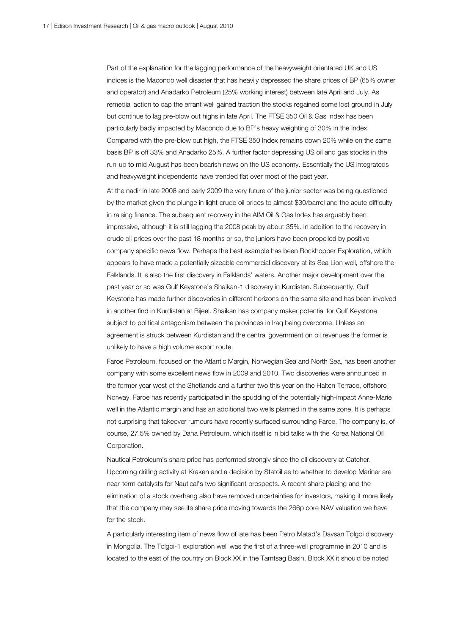Part of the explanation for the lagging performance of the heavyweight orientated UK and US indices is the Macondo well disaster that has heavily depressed the share prices of BP (65% owner and operator) and Anadarko Petroleum (25% working interest) between late April and July. As remedial action to cap the errant well gained traction the stocks regained some lost ground in July but continue to lag pre-blow out highs in late April. The FTSE 350 Oil & Gas Index has been particularly badly impacted by Macondo due to BP's heavy weighting of 30% in the Index. Compared with the pre-blow out high, the FTSE 350 Index remains down 20% while on the same basis BP is off 33% and Anadarko 25%. A further factor depressing US oil and gas stocks in the run-up to mid August has been bearish news on the US economy. Essentially the US integrateds and heavyweight independents have trended flat over most of the past year.

At the nadir in late 2008 and early 2009 the very future of the junior sector was being questioned by the market given the plunge in light crude oil prices to almost \$30/barrel and the acute difficulty in raising finance. The subsequent recovery in the AIM Oil & Gas Index has arguably been impressive, although it is still lagging the 2008 peak by about 35%. In addition to the recovery in crude oil prices over the past 18 months or so, the juniors have been propelled by positive company specific news flow. Perhaps the best example has been Rockhopper Exploration, which appears to have made a potentially sizeable commercial discovery at its Sea Lion well, offshore the Falklands. It is also the first discovery in Falklands' waters. Another major development over the past year or so was Gulf Keystone's Shaikan-1 discovery in Kurdistan. Subsequently, Gulf Keystone has made further discoveries in different horizons on the same site and has been involved in another find in Kurdistan at Bijeel. Shaikan has company maker potential for Gulf Keystone subject to political antagonism between the provinces in Iraq being overcome. Unless an agreement is struck between Kurdistan and the central government on oil revenues the former is unlikely to have a high volume export route.

Faroe Petroleum, focused on the Atlantic Margin, Norwegian Sea and North Sea, has been another company with some excellent news flow in 2009 and 2010. Two discoveries were announced in the former year west of the Shetlands and a further two this year on the Halten Terrace, offshore Norway. Faroe has recently participated in the spudding of the potentially high-impact Anne-Marie well in the Atlantic margin and has an additional two wells planned in the same zone. It is perhaps not surprising that takeover rumours have recently surfaced surrounding Faroe. The company is, of course, 27.5% owned by Dana Petroleum, which itself is in bid talks with the Korea National Oil Corporation.

Nautical Petroleum's share price has performed strongly since the oil discovery at Catcher. Upcoming drilling activity at Kraken and a decision by Statoil as to whether to develop Mariner are near-term catalysts for Nautical's two significant prospects. A recent share placing and the elimination of a stock overhang also have removed uncertainties for investors, making it more likely that the company may see its share price moving towards the 266p core NAV valuation we have for the stock.

A particularly interesting item of news flow of late has been Petro Matad's Davsan Tolgoi discovery in Mongolia. The Tolgoi-1 exploration well was the first of a three-well programme in 2010 and is located to the east of the country on Block XX in the Tamtsag Basin. Block XX it should be noted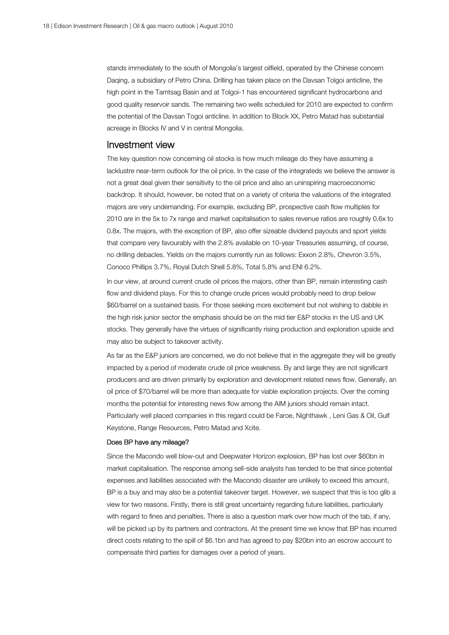stands immediately to the south of Mongolia's largest oilfield, operated by the Chinese concern Daqing, a subsidiary of Petro China. Drilling has taken place on the Davsan Tolgoi anticline, the high point in the Tamtsag Basin and at Tolgoi-1 has encountered significant hydrocarbons and good quality reservoir sands. The remaining two wells scheduled for 2010 are expected to confirm the potential of the Davsan Togoi anticline. In addition to Block XX, Petro Matad has substantial acreage in Blocks IV and V in central Mongolia.

### Investment view

The key question now concerning oil stocks is how much mileage do they have assuming a lacklustre near-term outlook for the oil price. In the case of the integrateds we believe the answer is not a great deal given their sensitivity to the oil price and also an uninspiring macroeconomic backdrop. It should, however, be noted that on a variety of criteria the valuations of the integrated majors are very undemanding. For example, excluding BP, prospective cash flow multiples for 2010 are in the 5x to 7x range and market capitalisation to sales revenue ratios are roughly 0.6x to 0.8x. The majors, with the exception of BP, also offer sizeable dividend payouts and sport yields that compare very favourably with the 2.8% available on 10-year Treasuries assuming, of course, no drilling debacles. Yields on the majors currently run as follows: Exxon 2.8%, Chevron 3.5%, Conoco Phillips 3.7%, Royal Dutch Shell 5.8%, Total 5.8% and ENI 6.2%.

In our view, at around current crude oil prices the majors, other than BP, remain interesting cash flow and dividend plays. For this to change crude prices would probably need to drop below \$60/barrel on a sustained basis. For those seeking more excitement but not wishing to dabble in the high risk junior sector the emphasis should be on the mid tier E&P stocks in the US and UK stocks. They generally have the virtues of significantly rising production and exploration upside and may also be subject to takeover activity.

As far as the E&P juniors are concerned, we do not believe that in the aggregate they will be greatly impacted by a period of moderate crude oil price weakness. By and large they are not significant producers and are driven primarily by exploration and development related news flow. Generally, an oil price of \$70/barrel will be more than adequate for viable exploration projects. Over the coming months the potential for interesting news flow among the AIM juniors should remain intact. Particularly well placed companies in this regard could be Faroe, Nighthawk , Leni Gas & Oil, Gulf Keystone, Range Resources, Petro Matad and Xcite.

### Does BP have any mileage?

Since the Macondo well blow-out and Deepwater Horizon explosion, BP has lost over \$60bn in market capitalisation. The response among sell-side analysts has tended to be that since potential expenses and liabilities associated with the Macondo disaster are unlikely to exceed this amount, BP is a buy and may also be a potential takeover target. However, we suspect that this is too glib a view for two reasons. Firstly, there is still great uncertainty regarding future liabilities, particularly with regard to fines and penalties. There is also a question mark over how much of the tab, if any, will be picked up by its partners and contractors. At the present time we know that BP has incurred direct costs relating to the spill of \$6.1bn and has agreed to pay \$20bn into an escrow account to compensate third parties for damages over a period of years.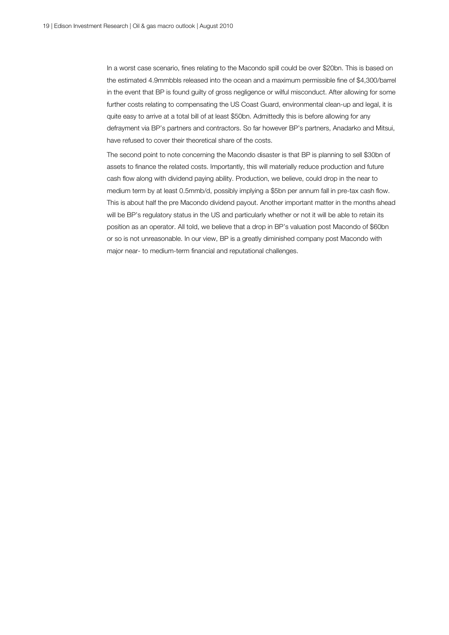In a worst case scenario, fines relating to the Macondo spill could be over \$20bn. This is based on the estimated 4.9mmbbls released into the ocean and a maximum permissible fine of \$4,300/barrel in the event that BP is found guilty of gross negligence or wilful misconduct. After allowing for some further costs relating to compensating the US Coast Guard, environmental clean-up and legal, it is quite easy to arrive at a total bill of at least \$50bn. Admittedly this is before allowing for any defrayment via BP's partners and contractors. So far however BP's partners, Anadarko and Mitsui, have refused to cover their theoretical share of the costs.

The second point to note concerning the Macondo disaster is that BP is planning to sell \$30bn of assets to finance the related costs. Importantly, this will materially reduce production and future cash flow along with dividend paying ability. Production, we believe, could drop in the near to medium term by at least 0.5mmb/d, possibly implying a \$5bn per annum fall in pre-tax cash flow. This is about half the pre Macondo dividend payout. Another important matter in the months ahead will be BP's regulatory status in the US and particularly whether or not it will be able to retain its position as an operator. All told, we believe that a drop in BP's valuation post Macondo of \$60bn or so is not unreasonable. In our view, BP is a greatly diminished company post Macondo with major near- to medium-term financial and reputational challenges.